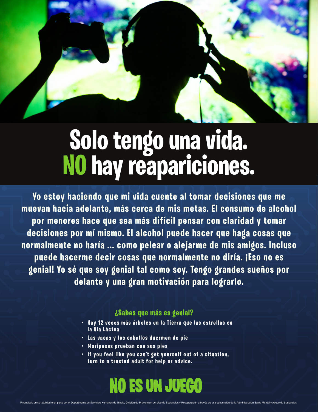## **Solo tengo una vida. NO hay reapariciones.**

**Yo estoy haciendo que mi vida cuente al tomar decisiones que me muevan hacia adelante, más cerca de mis metas. El consumo de alcohol por menores hace que sea más difícil pensar con claridad y tomar decisiones por mí mismo. El alcohol puede hacer que haga cosas que normalmente no haría ... como pelear o alejarme de mis amigos. Incluso puede hacerme decir cosas que normalmente no diría. ¡Eso no es genial! Yo sé que soy genial tal como soy. Tengo grandes sueños por delante y una gran motivación para lograrlo.**

### **¿Sabes que más es genial?**

- **•** Hay 12 veces más árboles en la Tierra que las estrellas en **la Vía Láctea**
- **• Las vacas y los caballos duermen de pie**
- **• Mariposas prueban con sus pies**
- **•** If you feel like you can't get yourself out of a situation, **turn to a trusted adult for help or advice.**